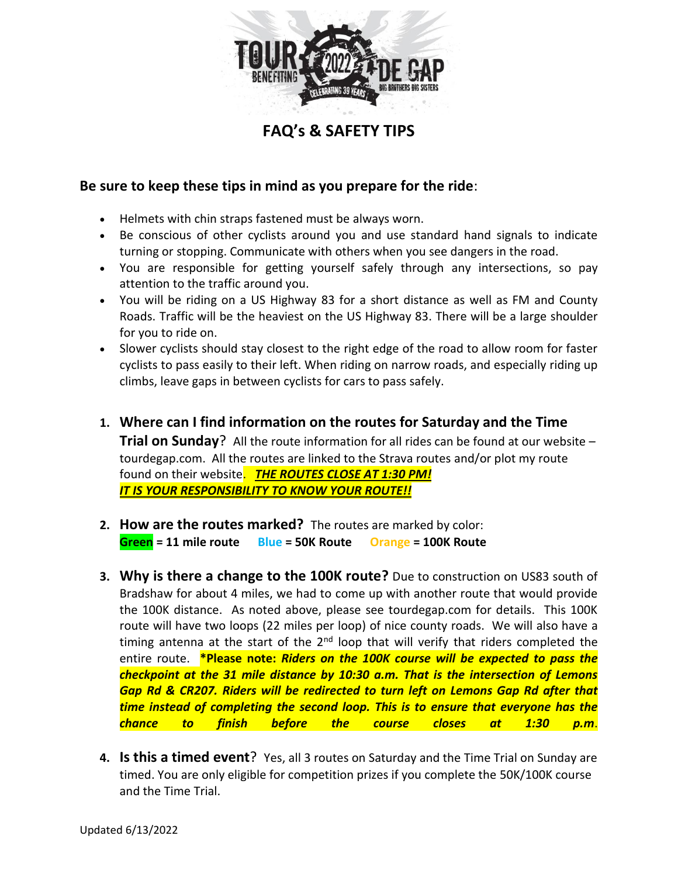

**FAQ's & SAFETY TIPS**

## **Be sure to keep these tips in mind as you prepare for the ride**:

- Helmets with chin straps fastened must be always worn.
- Be conscious of other cyclists around you and use standard hand signals to indicate turning or stopping. Communicate with others when you see dangers in the road.
- You are responsible for getting yourself safely through any intersections, so pay attention to the traffic around you.
- You will be riding on a US Highway 83 for a short distance as well as FM and County Roads. Traffic will be the heaviest on the US Highway 83. There will be a large shoulder for you to ride on.
- Slower cyclists should stay closest to the right edge of the road to allow room for faster cyclists to pass easily to their left. When riding on narrow roads, and especially riding up climbs, leave gaps in between cyclists for cars to pass safely.
- **1. Where can I find information on the routes for Saturday and the Time Trial on Sunday**? All the route information for all rides can be found at our website – tourdegap.com. All the routes are linked to the Strava routes and/or plot my route found on their website.*THE ROUTES CLOSE AT 1:30 PM! IT IS YOUR RESPONSIBILITY TO KNOW YOUR ROUTE!!*
- **2. How are the routes marked?** The routes are marked by color: **Green = 11 mile route Blue = 50K Route Orange = 100K Route**
- **3. Why is there a change to the 100K route?** Due to construction on US83 south of Bradshaw for about 4 miles, we had to come up with another route that would provide the 100K distance. As noted above, please see tourdegap.com for details. This 100K route will have two loops (22 miles per loop) of nice county roads. We will also have a timing antenna at the start of the  $2<sup>nd</sup>$  loop that will verify that riders completed the entire route. **\*Please note:** *Riders on the 100K course will be expected to pass the checkpoint at the 31 mile distance by 10:30 a.m. That is the intersection of Lemons Gap Rd & CR207. Riders will be redirected to turn left on Lemons Gap Rd after that time instead of completing the second loop. This is to ensure that everyone has the chance to finish before the course closes at 1:30 p.m*.
- **4. Is this a timed event**? Yes, all 3 routes on Saturday and the Time Trial on Sunday are timed. You are only eligible for competition prizes if you complete the 50K/100K course and the Time Trial.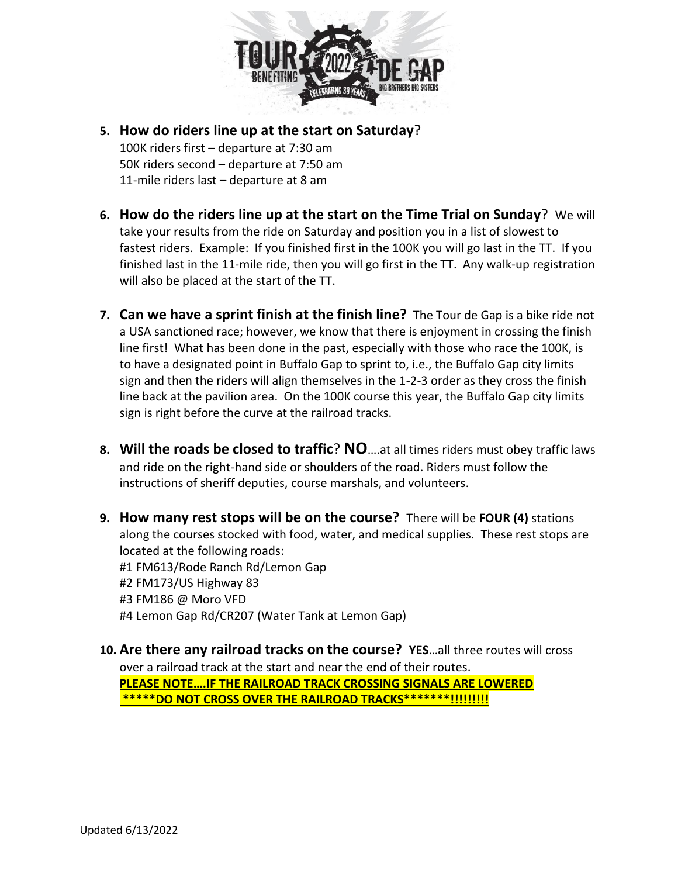

- **5. How do riders line up at the start on Saturday**? 100K riders first – departure at 7:30 am 50K riders second – departure at 7:50 am 11-mile riders last – departure at 8 am
- **6. How do the riders line up at the start on the Time Trial on Sunday**? We will take your results from the ride on Saturday and position you in a list of slowest to fastest riders. Example: If you finished first in the 100K you will go last in the TT. If you finished last in the 11-mile ride, then you will go first in the TT. Any walk-up registration will also be placed at the start of the TT.
- **7. Can we have a sprint finish at the finish line?** The Tour de Gap is a bike ride not a USA sanctioned race; however, we know that there is enjoyment in crossing the finish line first! What has been done in the past, especially with those who race the 100K, is to have a designated point in Buffalo Gap to sprint to, i.e., the Buffalo Gap city limits sign and then the riders will align themselves in the 1-2-3 order as they cross the finish line back at the pavilion area. On the 100K course this year, the Buffalo Gap city limits sign is right before the curve at the railroad tracks.
- **8. Will the roads be closed to traffic**? **NO**….at all times riders must obey traffic laws and ride on the right-hand side or shoulders of the road. Riders must follow the instructions of sheriff deputies, course marshals, and volunteers.
- **9. How many rest stops will be on the course?** There will be **FOUR (4)** stations along the courses stocked with food, water, and medical supplies. These rest stops are located at the following roads: #1 FM613/Rode Ranch Rd/Lemon Gap #2 FM173/US Highway 83 #3 FM186 @ Moro VFD #4 Lemon Gap Rd/CR207 (Water Tank at Lemon Gap)
- **10. Are there any railroad tracks on the course? YES**…all three routes will cross over a railroad track at the start and near the end of their routes. **PLEASE NOTE….IF THE RAILROAD TRACK CROSSING SIGNALS ARE LOWERED \*\*\*\*\*DO NOT CROSS OVER THE RAILROAD TRACKS\*\*\*\*\*\*\*!!!!!!!!!**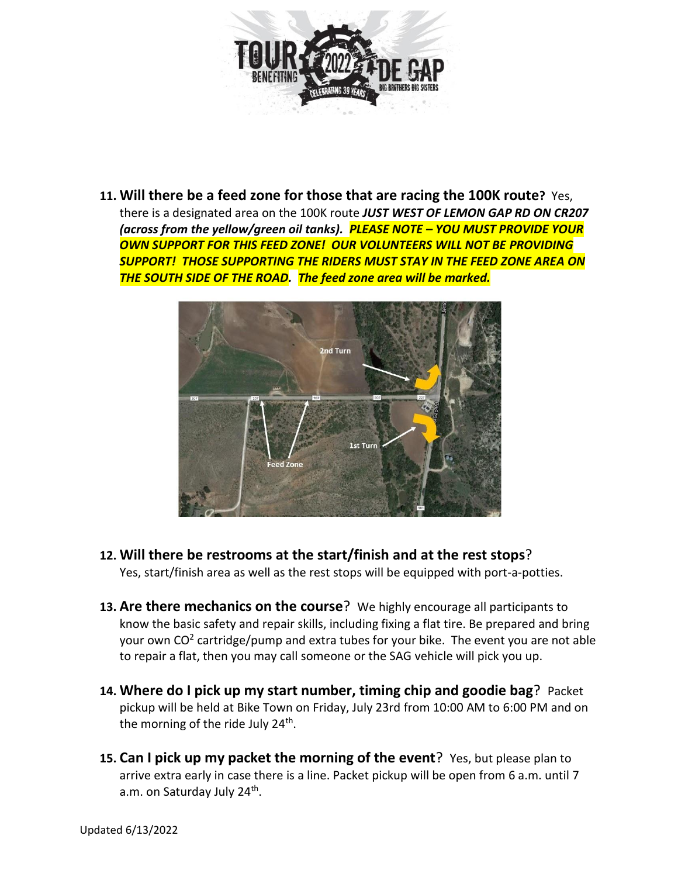

**11. Will there be a feed zone for those that are racing the 100K route?** Yes, there is a designated area on the 100K route *JUST WEST OF LEMON GAP RD ON CR207 (across from the yellow/green oil tanks). PLEASE NOTE – YOU MUST PROVIDE YOUR OWN SUPPORT FOR THIS FEED ZONE! OUR VOLUNTEERS WILL NOT BE PROVIDING SUPPORT! THOSE SUPPORTING THE RIDERS MUST STAY IN THE FEED ZONE AREA ON THE SOUTH SIDE OF THE ROAD. The feed zone area will be marked.*



- **12. Will there be restrooms at the start/finish and at the rest stops**? Yes, start/finish area as well as the rest stops will be equipped with port-a-potties.
- **13. Are there mechanics on the course**? We highly encourage all participants to know the basic safety and repair skills, including fixing a flat tire. Be prepared and bring your own CO<sup>2</sup> cartridge/pump and extra tubes for your bike. The event you are not able to repair a flat, then you may call someone or the SAG vehicle will pick you up.
- **14. Where do I pick up my start number, timing chip and goodie bag**? Packet pickup will be held at Bike Town on Friday, July 23rd from 10:00 AM to 6:00 PM and on the morning of the ride July 24<sup>th</sup>.
- **15. Can I pick up my packet the morning of the event**? Yes, but please plan to arrive extra early in case there is a line. Packet pickup will be open from 6 a.m. until 7 a.m. on Saturday July 24<sup>th</sup>.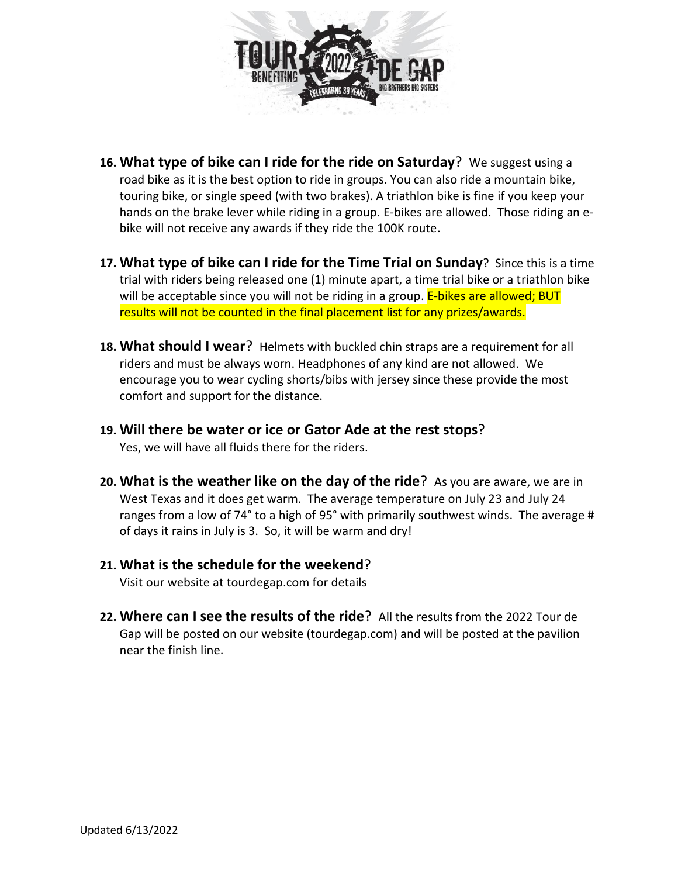

- **16. What type of bike can I ride for the ride on Saturday**? We suggest using a road bike as it is the best option to ride in groups. You can also ride a mountain bike, touring bike, or single speed (with two brakes). A triathlon bike is fine if you keep your hands on the brake lever while riding in a group. E-bikes are allowed. Those riding an ebike will not receive any awards if they ride the 100K route.
- **17. What type of bike can I ride for the Time Trial on Sunday**? Since this is a time trial with riders being released one (1) minute apart, a time trial bike or a triathlon bike will be acceptable since you will not be riding in a group. E-bikes are allowed; BUT results will not be counted in the final placement list for any prizes/awards.
- **18. What should I wear**? Helmets with buckled chin straps are a requirement for all riders and must be always worn. Headphones of any kind are not allowed. We encourage you to wear cycling shorts/bibs with jersey since these provide the most comfort and support for the distance.
- **19. Will there be water or ice or Gator Ade at the rest stops**? Yes, we will have all fluids there for the riders.
- **20. What is the weather like on the day of the ride**? As you are aware, we are in West Texas and it does get warm. The average temperature on July 23 and July 24 ranges from a low of 74° to a high of 95° with primarily southwest winds. The average # of days it rains in July is 3. So, it will be warm and dry!
- **21. What is the schedule for the weekend**? Visit our website at tourdegap.com for details
- **22. Where can I see the results of the ride**? All the results from the 2022 Tour de Gap will be posted on our website (tourdegap.com) and will be posted at the pavilion near the finish line.